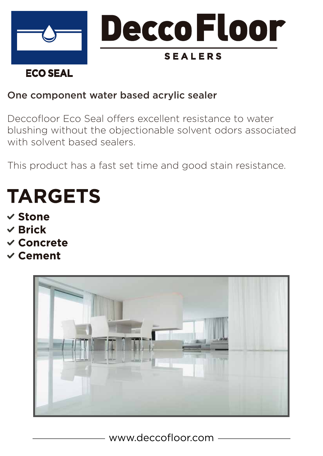

## One component water based acrylic sealer

Deccofloor Eco Seal offers excellent resistance to water blushing without the objectionable solvent odors associated with solvent based sealers.

This product has a fast set time and good stain resistance.

# **TARGETS**

- $\checkmark$  Stone
- $\vee$  Brick
- $\checkmark$  Concrete
- $\checkmark$  Cement



www.deccofloor.com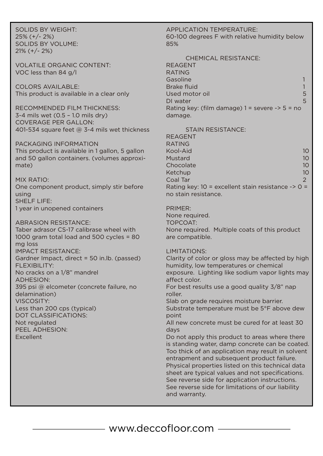SOLIDS BY WEIGHT: 25% (+/- 2%) SOLIDS BY VOLUME:  $21\%$  (+/- 2%)

VOLATILE ORGANIC CONTENT: VOC less than 84 g/l

COLORS AVAILABLE: This product is available in a clear only

RECOMMENDED FILM THICKNESS: 3-4 mils wet (0.5 – 1.0 mils dry) COVERAGE PER GALLON: 401-534 square feet @ 3-4 mils wet thickness

PACKAGING INFORMATION This product is available in 1 gallon, 5 gallon and 50 gallon containers. (volumes approximate)

#### MIX RATIO:

One component product, simply stir before using SHELF LIFE:

1 year in unopened containers

ABRASION RESISTANCE:

Taber adrasor CS-17 calibrase wheel with 1000 gram total load and 500 cycles = 80 mg loss IMPACT RESISTANCE: Gardner Impact, direct = 50 in.lb. (passed) FLEXIBILITY: No cracks on a 1/8" mandrel ADHESION: 395 psi @ elcometer (concrete failure, no delamination) VISCOSITY: Less than 200 cps (typical) DOT CLASSIFICATIONS: Not regulated PEEL ADHESION: Excellent

#### APPLICATION TEMPERATURE: 60-100 degrees F with relative humidity below 85%

| <b>CHEMICAL RESISTANCE:</b>                         |   |
|-----------------------------------------------------|---|
| <b>REAGENT</b>                                      |   |
| <b>RATING</b>                                       |   |
| Gasoline                                            |   |
| Brake fluid                                         |   |
| Used motor oil                                      | 5 |
| DI water                                            | 5 |
| Rating key: (film damage) $1 =$ severe $-$ > 5 = no |   |
| damage.                                             |   |

#### STAIN RESISTANCE:

REAGENT RATING Kool-Aid 10 Mustard 10 Chocolate 10 and 10 and 10 and 10 and 10 and 10 and 10 and 10 and 10 and 10 and 10 and 10 and 10 and 10 and 10 Ketchup 10 Coal Tar 2 Rating key: 10 = excellent stain resistance -> 0 = no stain resistance.

#### PRIMER:

None required.

TOPCOAT:

None required. Multiple coats of this product are compatible.

#### LIMITATIONS:

and warranty.

Clarity of color or gloss may be affected by high humidity, low temperatures or chemical exposure. Lighting like sodium vapor lights may affect color. For best results use a good quality 3/8" nap roller. Slab on grade requires moisture barrier. Substrate temperature must be 5°F above dew point All new concrete must be cured for at least 30 days Do not apply this product to areas where there is standing water, damp concrete can be coated. Too thick of an application may result in solvent entrapment and subsequent product failure. Physical properties listed on this technical data sheet are typical values and not specifications. See reverse side for application instructions. See reverse side for limitations of our liability